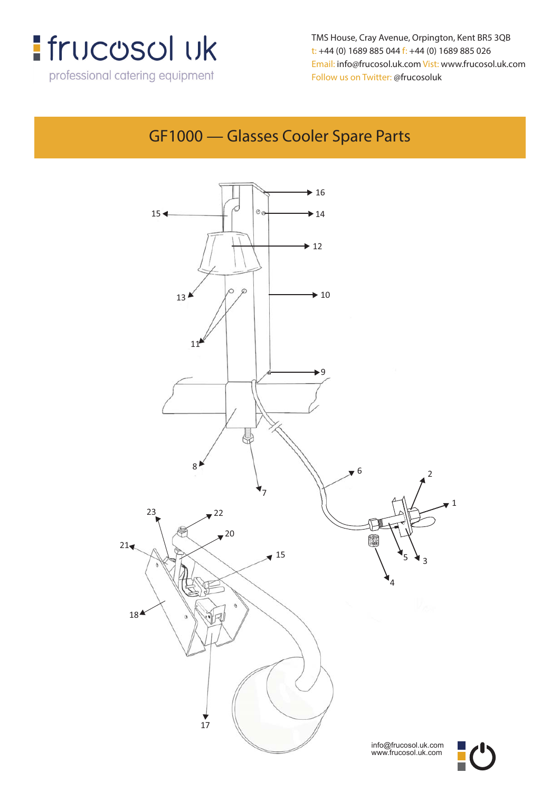

TMS House, Cray Avenue, Orpington, Kent BR5 3QB t: +44 (0) 1689 885 044 f: +44 (0) 1689 885 026 Email: info@frucosol.uk.com Vist: www.frucosol.uk.com Follow us on Twitter: @frucosoluk

## GF1000 — Glasses Cooler Spare Parts